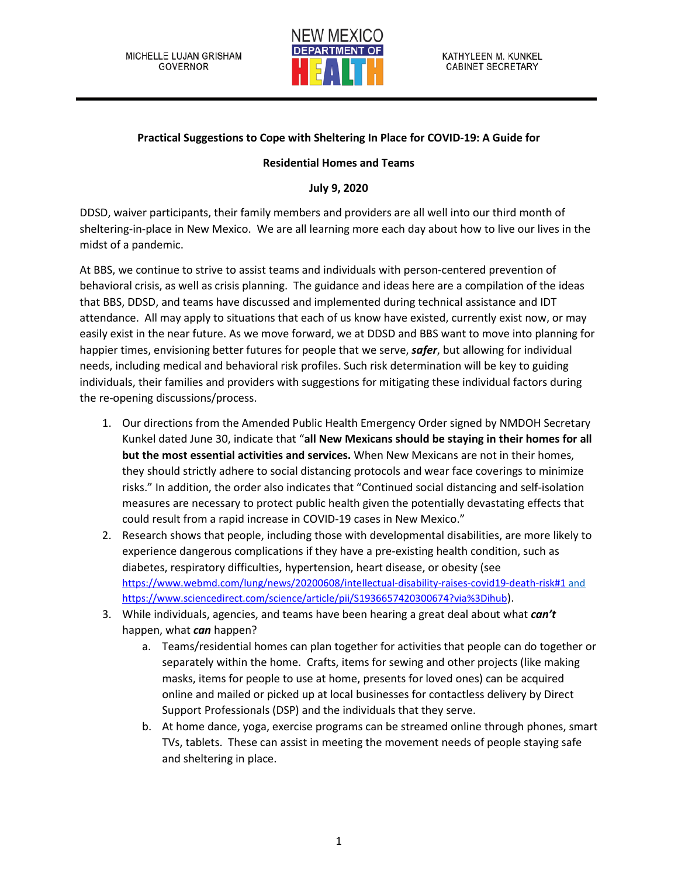

## **Practical Suggestions to Cope with Sheltering In Place for COVID-19: A Guide for**

## **Residential Homes and Teams**

## **July 9, 2020**

DDSD, waiver participants, their family members and providers are all well into our third month of sheltering-in-place in New Mexico. We are all learning more each day about how to live our lives in the midst of a pandemic.

At BBS, we continue to strive to assist teams and individuals with person-centered prevention of behavioral crisis, as well as crisis planning. The guidance and ideas here are a compilation of the ideas that BBS, DDSD, and teams have discussed and implemented during technical assistance and IDT attendance. All may apply to situations that each of us know have existed, currently exist now, or may easily exist in the near future. As we move forward, we at DDSD and BBS want to move into planning for happier times, envisioning better futures for people that we serve, *safer*, but allowing for individual needs, including medical and behavioral risk profiles. Such risk determination will be key to guiding individuals, their families and providers with suggestions for mitigating these individual factors during the re-opening discussions/process.

- 1. Our directions from the Amended Public Health Emergency Order signed by NMDOH Secretary Kunkel dated June 30, indicate that "**all New Mexicans should be staying in their homes for all but the most essential activities and services.** When New Mexicans are not in their homes, they should strictly adhere to social distancing protocols and wear face coverings to minimize risks." In addition, the order also indicates that "Continued social distancing and self-isolation measures are necessary to protect public health given the potentially devastating effects that could result from a rapid increase in COVID-19 cases in New Mexico."
- 2. Research shows that people, including those with developmental disabilities, are more likely to experience dangerous complications if they have a pre-existing health condition, such as diabetes, respiratory difficulties, hypertension, heart disease, or obesity (see <https://www.webmd.com/lung/news/20200608/intellectual-disability-raises-covid19-death-risk#1> and [https://www.sciencedirect.com/science/article/pii/S1936657420300674?via%3Dihub\)](https://www.sciencedirect.com/science/article/pii/S1936657420300674?via%3Dihub).
- 3. While individuals, agencies, and teams have been hearing a great deal about what *can't* happen, what *can* happen?
	- a. Teams/residential homes can plan together for activities that people can do together or separately within the home. Crafts, items for sewing and other projects (like making masks, items for people to use at home, presents for loved ones) can be acquired online and mailed or picked up at local businesses for contactless delivery by Direct Support Professionals (DSP) and the individuals that they serve.
	- b. At home dance, yoga, exercise programs can be streamed online through phones, smart TVs, tablets. These can assist in meeting the movement needs of people staying safe and sheltering in place.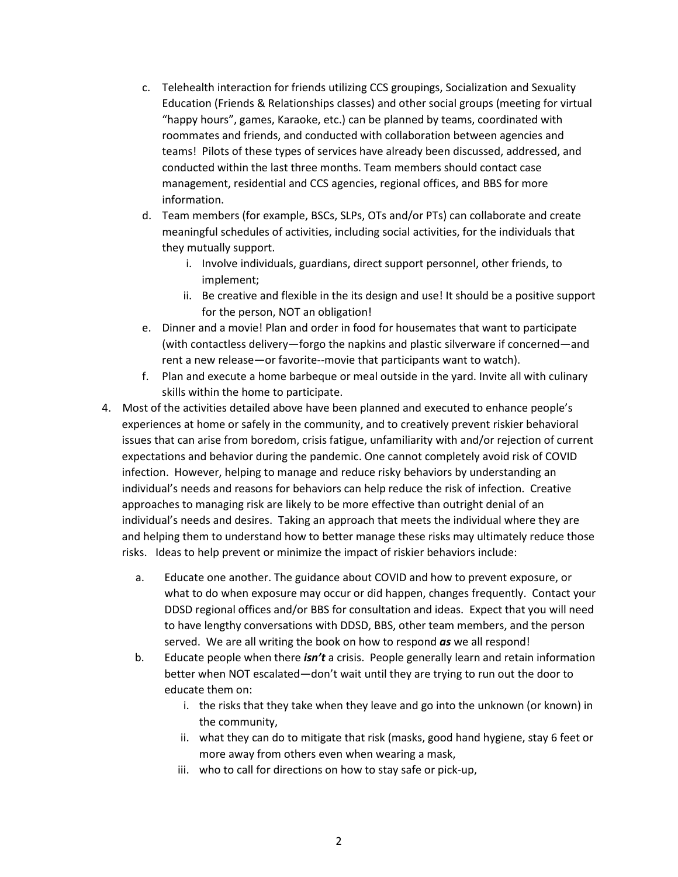- c. Telehealth interaction for friends utilizing CCS groupings, Socialization and Sexuality Education (Friends & Relationships classes) and other social groups (meeting for virtual "happy hours", games, Karaoke, etc.) can be planned by teams, coordinated with roommates and friends, and conducted with collaboration between agencies and teams! Pilots of these types of services have already been discussed, addressed, and conducted within the last three months. Team members should contact case management, residential and CCS agencies, regional offices, and BBS for more information.
- d. Team members (for example, BSCs, SLPs, OTs and/or PTs) can collaborate and create meaningful schedules of activities, including social activities, for the individuals that they mutually support.
	- i. Involve individuals, guardians, direct support personnel, other friends, to implement;
	- ii. Be creative and flexible in the its design and use! It should be a positive support for the person, NOT an obligation!
- e. Dinner and a movie! Plan and order in food for housemates that want to participate (with contactless delivery—forgo the napkins and plastic silverware if concerned—and rent a new release—or favorite--movie that participants want to watch).
- f. Plan and execute a home barbeque or meal outside in the yard. Invite all with culinary skills within the home to participate.
- 4. Most of the activities detailed above have been planned and executed to enhance people's experiences at home or safely in the community, and to creatively prevent riskier behavioral issues that can arise from boredom, crisis fatigue, unfamiliarity with and/or rejection of current expectations and behavior during the pandemic. One cannot completely avoid risk of COVID infection. However, helping to manage and reduce risky behaviors by understanding an individual's needs and reasons for behaviors can help reduce the risk of infection. Creative approaches to managing risk are likely to be more effective than outright denial of an individual's needs and desires. Taking an approach that meets the individual where they are and helping them to understand how to better manage these risks may ultimately reduce those risks. Ideas to help prevent or minimize the impact of riskier behaviors include:
	- a. Educate one another. The guidance about COVID and how to prevent exposure, or what to do when exposure may occur or did happen, changes frequently. Contact your DDSD regional offices and/or BBS for consultation and ideas. Expect that you will need to have lengthy conversations with DDSD, BBS, other team members, and the person served. We are all writing the book on how to respond *as* we all respond!
	- b. Educate people when there *isn't* a crisis. People generally learn and retain information better when NOT escalated—don't wait until they are trying to run out the door to educate them on:
		- i. the risks that they take when they leave and go into the unknown (or known) in the community,
		- ii. what they can do to mitigate that risk (masks, good hand hygiene, stay 6 feet or more away from others even when wearing a mask,
		- iii. who to call for directions on how to stay safe or pick-up,